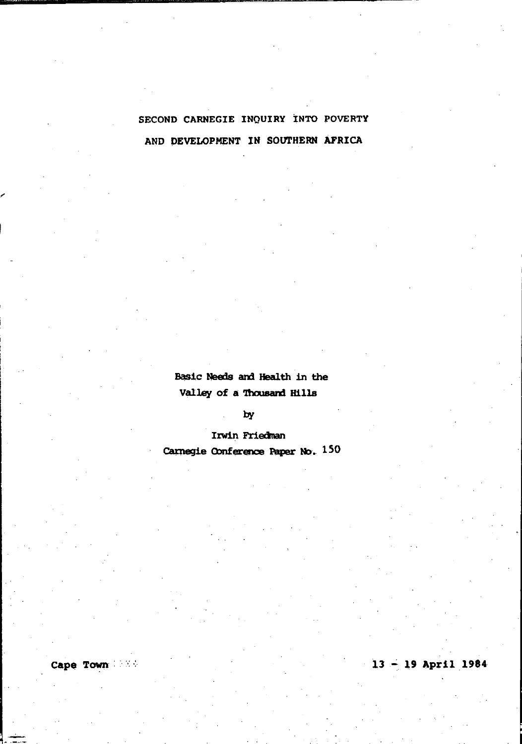## SECOND CARNEGIE INQUIRY INTO POVERTY AND DEVELOPMENT IN SOUTHERN AFRICA

Basic Needs and Health in the Valley of a Thousand Hills

by

Irwin Friedman Carnegie Conference Paper No. 150

Cape Town

 $13 - 19$  April 1984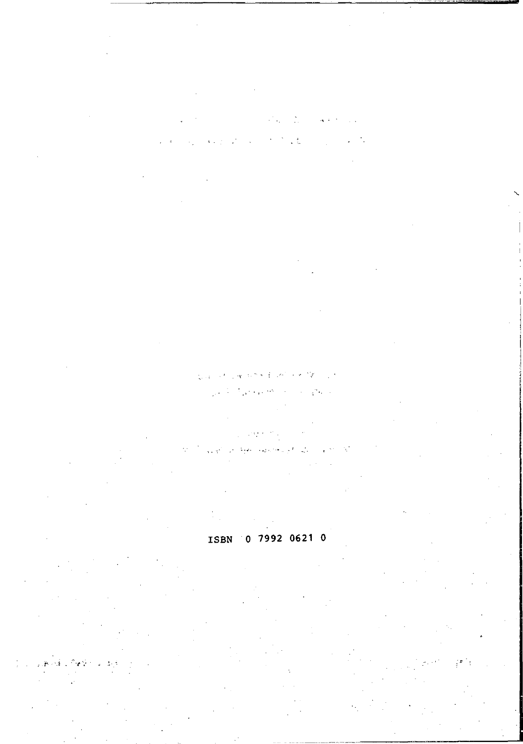# έ.

#### $\sim$   $\sim$  $\sqrt{2} \, \epsilon_{\rm s}$

#### 0 7992 0621 0 ISBN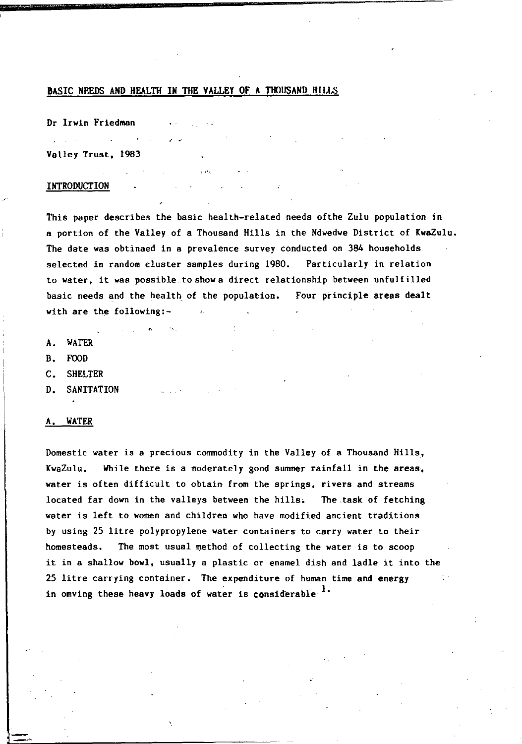#### BASIC NEEDS AND HEALTH IN THE VALLEY OF A THOUSAND HILLS

 $\mathcal{L}$  $\sim 100$ 

Dr Irwin Friedman

Valley Trust, 1983

#### INTRODUCTION

This paper describes the basic health-related needs of the Zulu population in a portion of the Valley of a Thousand Hills in the Ndwedwe District of KwaZulu. The date was obtinaed in a prevalence survey conducted on 384 households selected in random cluster samples during 1980. Particularly in relation to water, it was possible to show a direct relationship between unfulfilled basic needs and the health of the population. Four principle areas dealt with are the following:-

- A. WATER
- B. FOOD
- C. SHELTER
- D. SANITATION

#### A. WATER

Domestic water is a precious commodity in the Valley of a Thousand Hi1l8, KwaZulu. While there is a moderately good summer rainfall in the areas, water is often difficult to obtain from the springs, rivers and streams located far down in the valleys between the hills. The task of fetching water is left to women and children who have modified ancient traditions by using 25 litre polypropylene water containers to carry water to their homesteads. The most usual method of collecting the water is to scoop it in a shallow bowl, usually a plastic or enamel dish and ladle it into the 25 litre carrying container. The expenditure of human time and energy in omving these heavy loads of water is considerable <sup>1</sup>.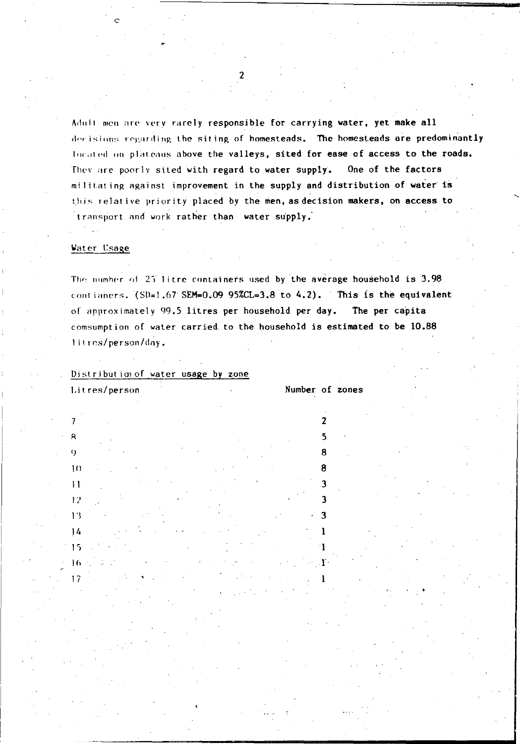Adult men are very rarely responsible for carrying water, yet make all decisions regarding the siting of homesteads. The homesteads are predominantly located on plateaus above the valleys, sited for ease of access to the roads. They are poorly sited with regard to water supply. One of the factors militating against improvement in the supply and distribution of water is this relative priority placed by the men, as decision makers, on access to transport and work rather than water supply.

#### Water Usage

 $\overline{7}$ 

 $\alpha$ 

 $10$ 

 $\mathbf{1}$ 

 $12$ 

 $13$ 

 $14$ 

15

 $16$  $17$ 

The number of 25 litre containers used by the average household is 3.98 contianers. (SD=1.67 SEM=0.09 95%CL=3.8 to 4.2). This is the equivalent of approximately 99.5 litres per household per day. The per capita comsumption of water carried to the household is estimated to be 10.88 litres/person/day.

Distribution of water usage by zone Litres/person

Number of zones

 $\overline{2}$ 

5

я

я

p

٦

3

ĩ

1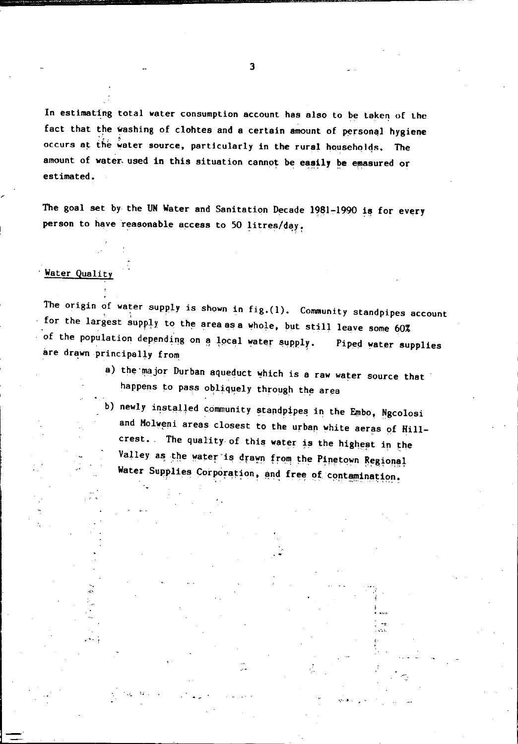In estimating total water consumption account has also to be taken of the fact that the washing of clohtes and a certain amount of personal hygiene occurs at the water source, particularly in the rural households. The amount of water used in this situation cannot be easily be emasured or estimated.

The goal set by the UN Water and Sanitation Decade 1981-1990 is for every person to have reasonable access to 50 litres/day.

### Water Quality

The origin of water supply is shown in fig.  $(1)$ . Community standpipes account for the largest supply to the area as a whole, but still leave some 60% of the population depending on a local water supply. Piped water supplies are drawn principally from

- a) the major Durban aqueduct which is a raw water source that happens to pass obliquely through the area
- b) newly installed community standpipes in the Embo, Ngcolosi and Molweni areas closest to the urban white aeras of Hillcrest. The quality of this water is the highest in the Valley as the water is drawn from the Pinetown Regional Water Supplies Corporation, and free of contamination.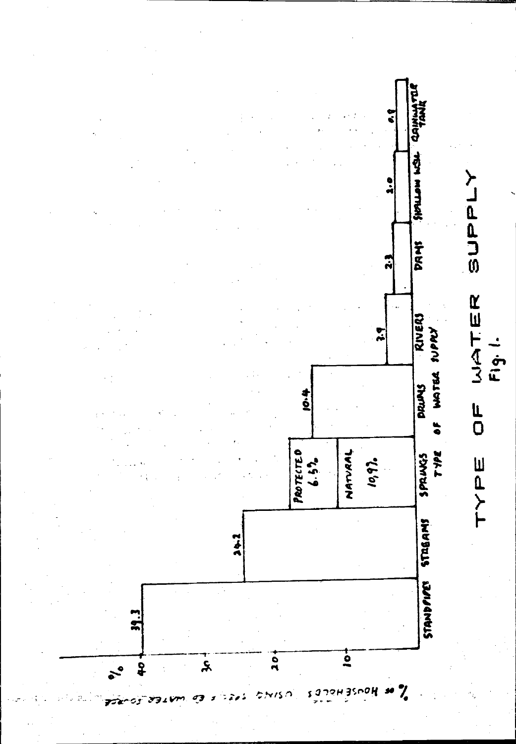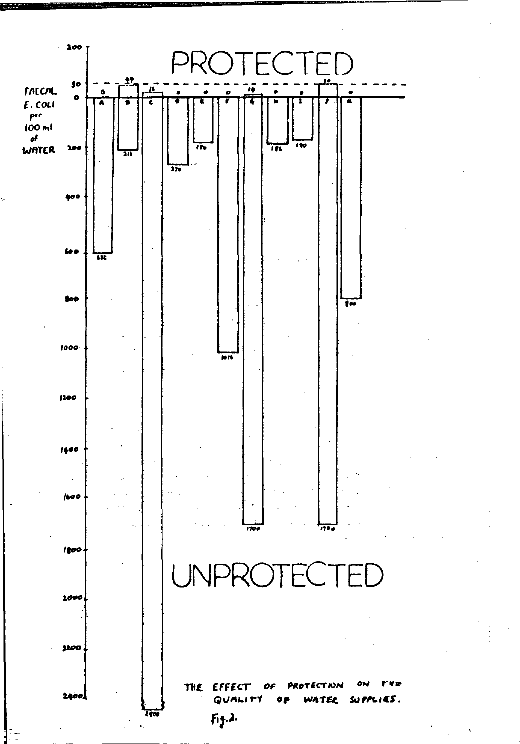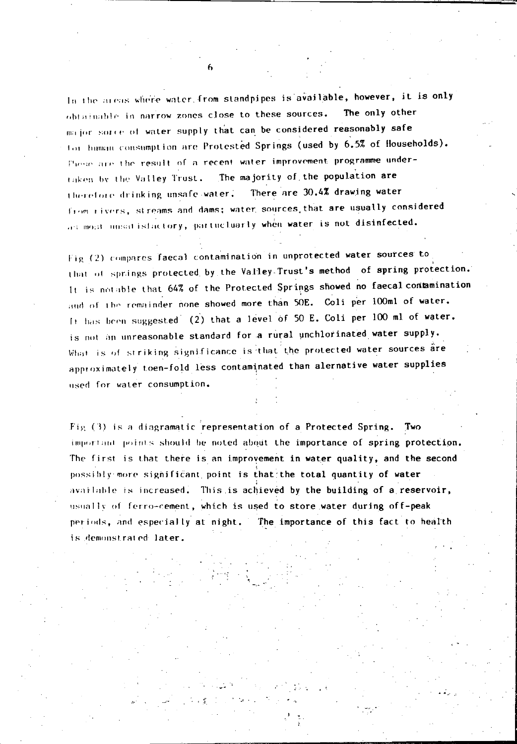In the areas where water from standpipes is available, however, it is only obtainable in narrow zones close to these sources. The only other major sorre of water supply that can be considered reasonably safe for human consumption are Protested Springs (used by 6.5% of Households). These are the result of a recent water improvement programme undertaken by the Valley Trust. The majority of the population are There are 30.4% drawing water therefore drinking unsafe water. from rivers, streams and dams; water sources that are usually considered as most unsatisfactory, partucluarly when water is not disinfected.

Fig (2) compares faecal contamination in unprotected water sources to that of springs protected by the Valley Trust's method of spring protection. It is notable that 64% of the Protected Springs showed no faecal contamination and of the remainder none showed more than 50E. Coli per 100ml of water. It has been suggested (2) that a level of 50 E. Coli per 100 ml of water. is not an unreasonable standard for a rural unchlorinated water supply. What is of striking significance is that the protected water sources are approximately toen-fold less contaminated than alernative water supplies used for water consumption.

Fig. (3) is a diagramatic representation of a Protected Spring. Two important points should be noted about the importance of spring protection. The first is that there is an improvement in water quality, and the second possibly more significant point is that the total quantity of water available is increased. This is achieved by the building of a reservoir, usually of ferro-cement, which is used to store water during off-peak periods, and especially at night. The importance of this fact to health is demonstrated later.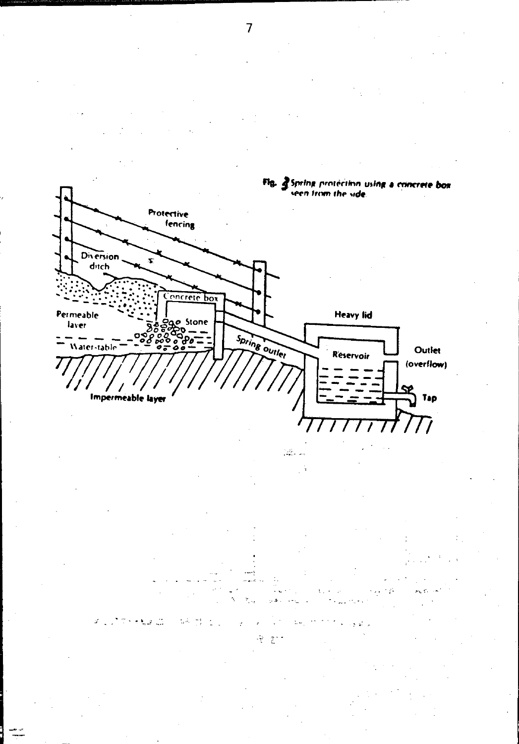

4  $\hat{\zeta}$ 

a di

 $\overline{7}$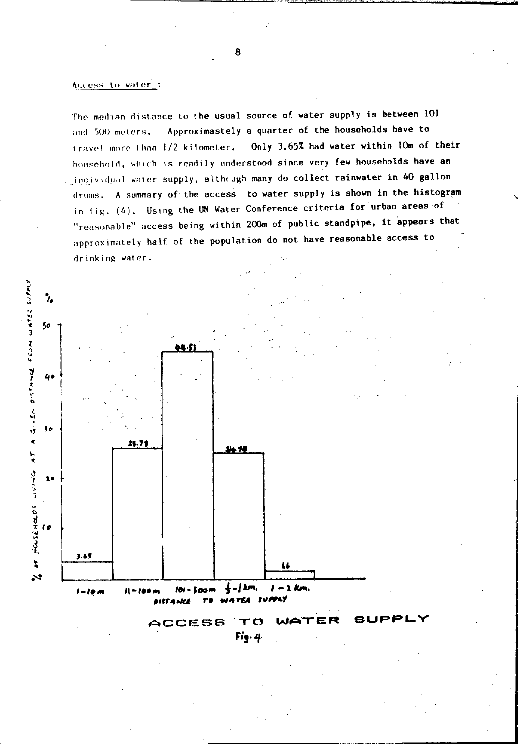#### Access to water:

The median distance to the usual source of water supply is between 101 Approximastely a quarter of the households have to and 500 meters. Only 3.65% had water within 10m of their travel more than 1/2 kilometer. household, which is readily understood since very few households have an . individual water supply, although many do collect rainwater in 40 gallon drums. A summary of the access to water supply is shown in the histogram in fig. (4). Using the UN Water Conference criteria for urban areas of "reasonable" access being within 200m of public standpipe, it appears that approximately half of the population do not have reasonable access to drinking water.



ER **ACCESS**  $T$  $\sigma$  $Fig. 4$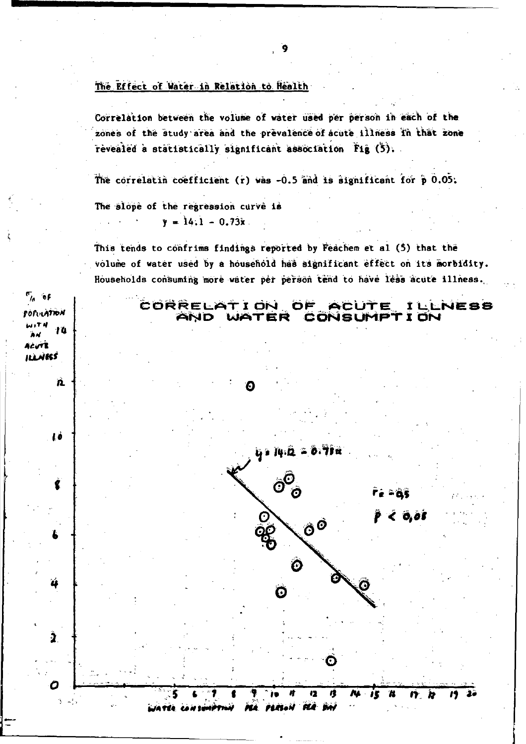#### The Effect of Water in Relation to Health

Correlation between the volume of water used per person in each of the zones of the study area and the prevalence of acute illness in that zone revealed a statistically significant association Fig (5).

The correlatin coefficient (r) was -0.5 and is significant for p 0.05.

The slope of the regression curve is  $y = 14.1 - 0.73x$ .

দ<sub>ে</sub> ৩€

Acure **ILLWESS** 

**SORIATION** 

-10

 $3 - 47$ 

This tends to confrims findings reported by Feachem et al (5) that the volume of water used by a household has significant effect on its morbidity. Households consuming more water per person tend to have less acute illness.

CORRELATION OF **ACUTE ILLNESS** AND WATER CONSUMPTION



ÌB 12 ŋ rs. ij, n n n MA PERSON FLA DAY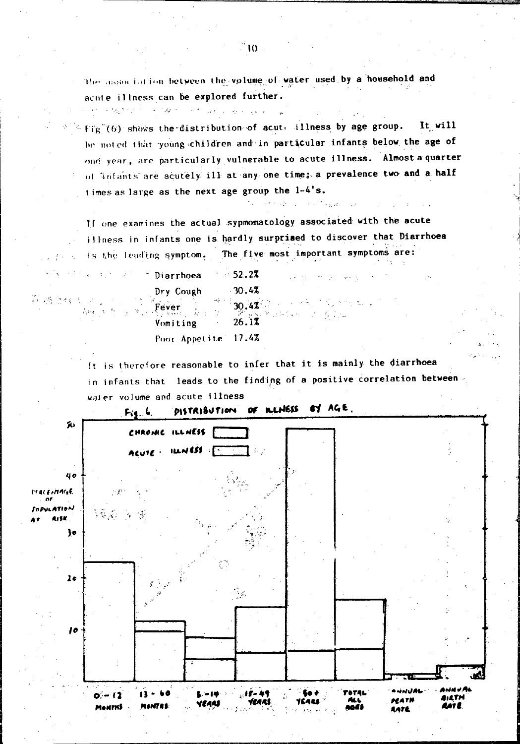The association between the volume of water used by a household and acute illness can be explored further.

 $\mathbb{E} \times \text{Fig}^*(6)$  shows the distribution of acute illness by age group. It will be noted that young children and in particular infants below the age of one year, are particularly vulnerable to acute illness. Almost a quarter of infants are acutely ill at any one time; a prevalence two and a half times as large as the next age group the 1-4's.

If one examines the actual sypmomatology associated with the acute illness in infants one is hardly surprised to discover that Diarrhoea is the leading symptom. The five most important symptoms are:

control of granders in

1000年1月前, 5000年1月

| " Diarrhoea         | $\sim$ 52.2%<br>医关节炎 化十分聚合物     |
|---------------------|---------------------------------|
| Dry Cough           | $-30.47$                        |
|                     | Fever 2 30.42 $\frac{1}{26.12}$ |
|                     |                                 |
| Poor Appetite 17.4% |                                 |

للهادر المتعاون والمحاول والمحارب المتعاقب والمتحرق والمحارب والمحارب

and an ignore and an

鉄路 2435 メリーン 13<br>木戸 ホール

It is therefore reasonable to infer that it is mainly the diarrhoea in infants that leads to the finding of a positive correlation between water volume and acute illness

DISTRIBUTION OF ILLNESS EY AGE.  $Fig. 6.$ 恥 CHRONIC ILLNESS F ACUTE - ILLNESS F 40 *FERCENTAGE* -43 LATION ងមិន ខែន **ALCH**  ${y}$  $2<sub>o</sub>$ ۹. 10 ناھ تائيا د دی د ده Eo é **POTAL**  $0 - 12$ 13 ف د **BILTH MATH** icarl VEARS **MANTES** AAT E **MONTHS** naes AATE.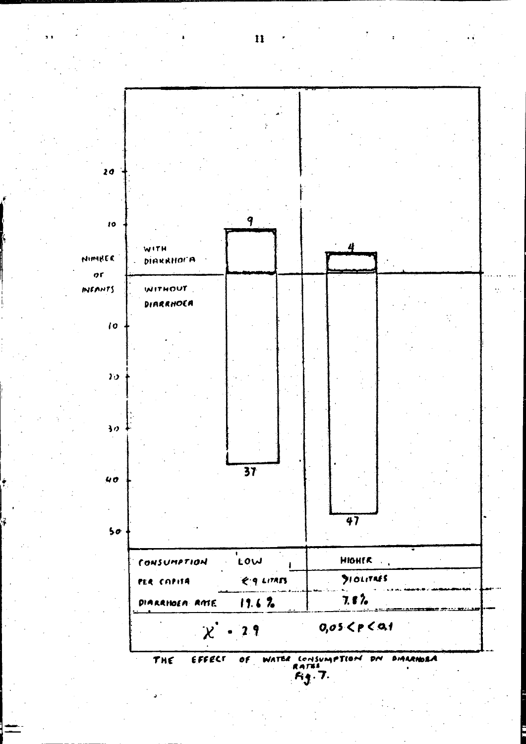

 $\mathbf{H}$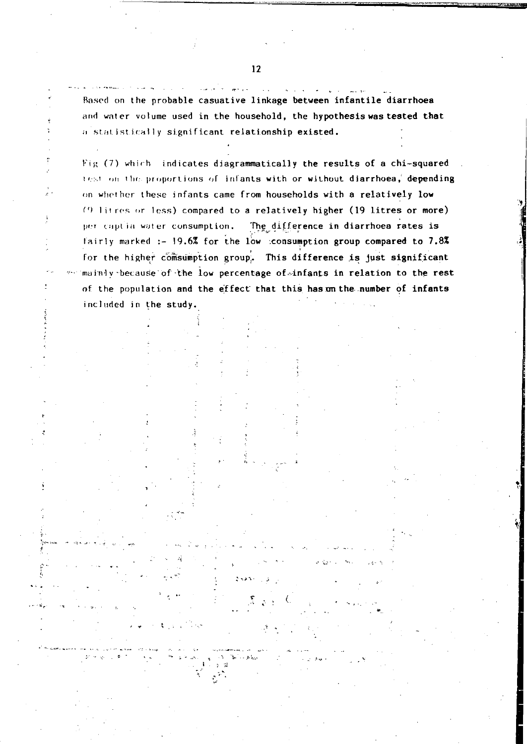Based on the probable casuative linkage between infantile diarrhoea and water volume used in the household, the hypothesis was tested that a statistically significant relationship existed.

Fig (7) which indicates diagrammatically the results of a chi-squared test on the proportions of infants with or without diarrhoea, depending on whether these infants came from households with a relatively low (9 litres or less) compared to a relatively higher (19 litres or more) The difference in diarrhoea rates is per captia water consumption. fairly marked :- 19.6% for the low consumption group compared to 7.8% for the higher comsumption group. This difference is just significant mainly because of the low percentage of infants in relation to the rest of the population and the effect that this has on the number of infants included in the study.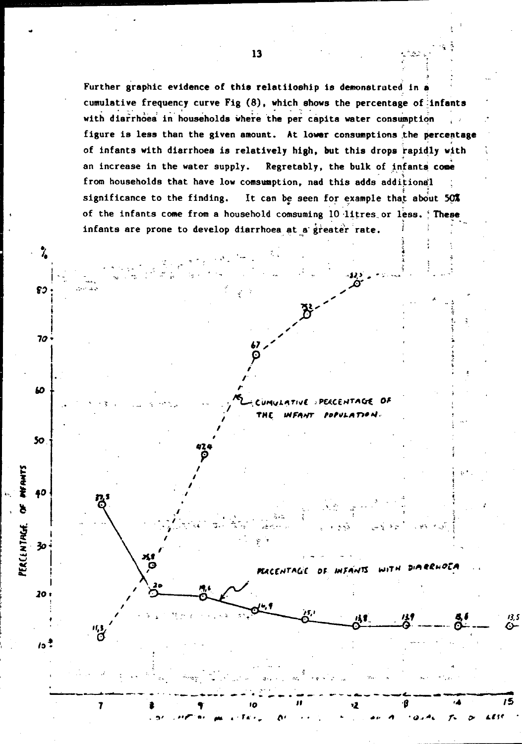Further graphic evidence of this relatiioship is demonstrated in a cumulative frequency curve Fig (8), which shows the percentage of infants with diarrhoea in households where the per capita water consumption figure is less than the given amount. At lower consumptions the percentage of infants with diarrhoea is relatively high, but this drops rapidly with an increase in the water supply. Regretably, the bulk of infants come from households that have low comsumption, nad this adds additional significance to the finding. It can be seen for example that about 50% of the infants come from a household comsuming 10 litres or less. **These** infants are prone to develop diarrhoea at a greater rate.

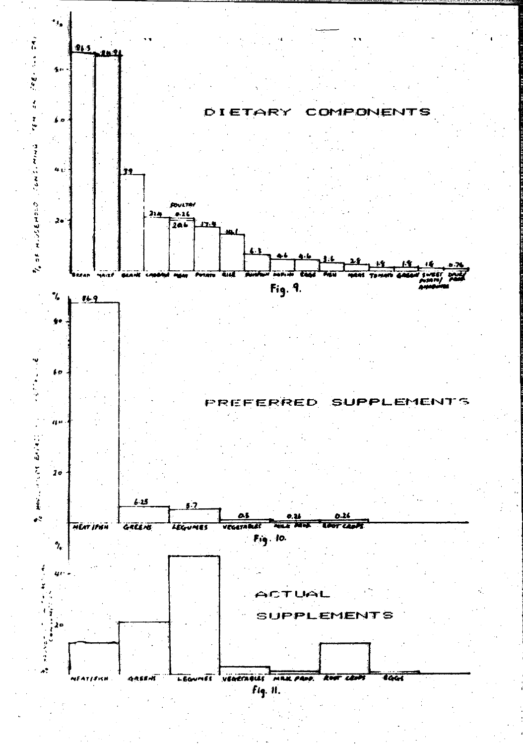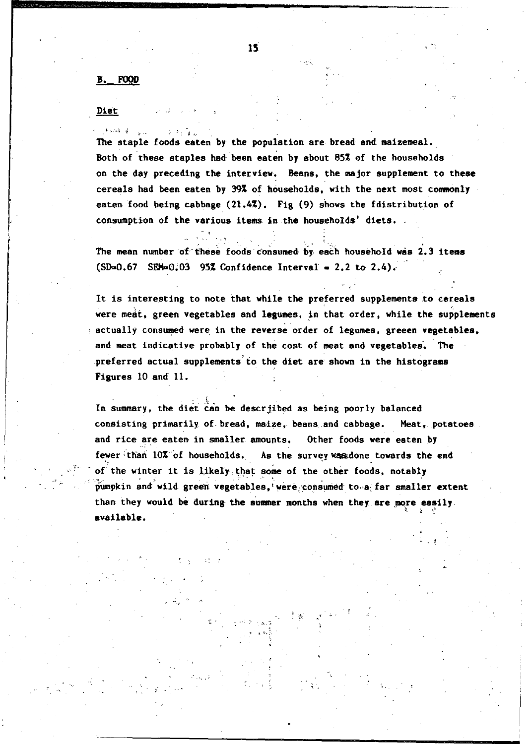#### B. FOOD

#### Diet

**CASSAGE** 

The staple foods eaten by the population are bread and maizemeal. Both of these staples had been eaten by about 85% of the households on the day preceding the interview~ Beans, the major supplement to these cereala had been eaten by 39% of households, with the next most commonly eaten food being cabbage (21.4%). Fig (9) shows the fdistribution of consumption of the various items in the households' diets. .

The mean number of these foods consumed by each household was 2.3 items  $(SD=0.67$  SEM=0.03 95% Confidence Interval = 2.2 to 2.4).

It is interesting to note that while the preferred supplements to cereals were meat, green vegetables and legumes, in that order, while the supplements actually consumed were in the reverse order of legumes, greeen vegetables, and meat indicative probably of the cost of meat and vegetables. The preferred actual supplements to the diet are shown in the histograms Figures 10 and' 11.

In summary, the diet can be descrjibed as being poorly balanced consisting primarily of bread, maize, beans and cabbage. Meat, potatoes and rice are eaten in smaller amounts. Other foods were eaten by fewer than 10% of households. As the survey was done towards the end of the winter it is likely that some of the other foods, notably pumpkin and wild green vegetables,' were consumed to a far smaller extent than they would be during the summer months when they are more easily.  $a$ vailable.  $a \in \mathbb{R}$ 

.'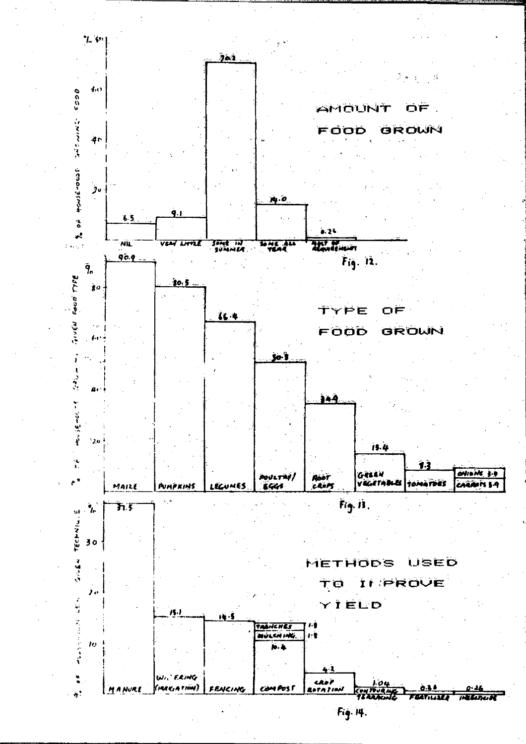

Fig. 14.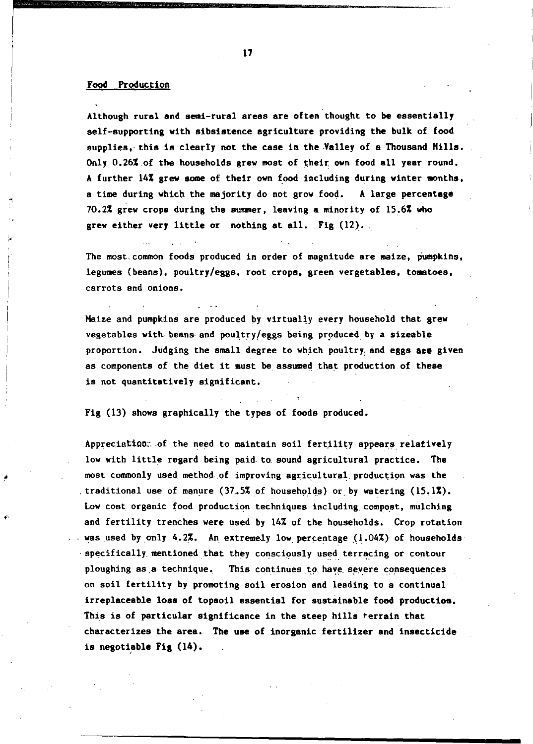#### Food Production

I !

Although rural and semi-rural areas are often thought to be essentially self-supporting with sibsistence agriculture providing the bulk of food supplies, this is clearly not the case in the Valley of a Thousand Hills. Only  $0.26\%$  of the households grew most of their own food all year round. A further 14% grew some of their own food including during winter months, a time during which the majority do not grow food. A large percentage 70.2% grew crops during the aummer, leaving a minority of 15.6% who grew either very little or nothing at all.  $Fig (12)$ .

The most, common foods produced in order of magnitude are maize, pumpkins, legumes (beans), poultry/eggs, root crops, green vergetables, tomatoes, carrots and onions.

Maize and pumpkins are produced, by virtually every household that grew vegetables with beans and poultry/eggs being produced by a sizeable proportion. Judging the small degree to which poultry and eggs are given as components of the diet it must be assumed that production of these is not quantitatively significant.

Fig (13) shows graphically the types of foods produced.

Appreciation: of the need to maintain soil fertility appears relatively low with little regard being paid to sound agricultural practice. The most commonly used method of improving agricultural production was the traditional use of manure  $(37.5\%$  of households) or by watering  $(15.1\%)$ . Low cost organic food production techniques including compost, mulching and fertility trenches were used by 14% of the households. Crop rotation was used by only 4.2%. An extremely low percentage  $(1.04\%)$  of households pecifically mentioned that they consciously used terracing or contour ploughing as a technique. This continues to have severe consequences on soil fertility by promoting soil erosion and leading to a continual irreplaceable loss of topaoil essential for suatainable food produetion. This is of particular aignificance in the steep hills terrain that characterizea the area. The use of inorganic fertilizer and insecticide is negotiable Fig  $(14)$ .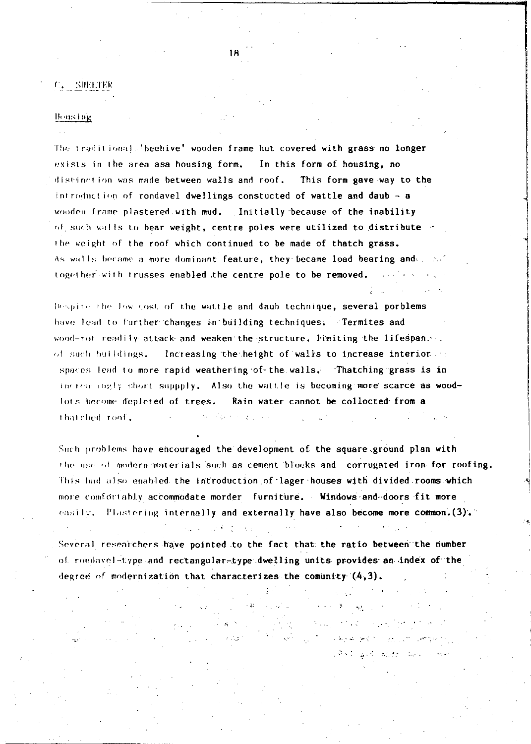### $C_{\star}$  SIEETER

#### **Housing**

The traditional Jbeehive' wooden frame hut covered with grass no longer exists in the area asa housing form. In this form of housing, no distinction was made between walls and roof. This form gave way to the introduction of rondavel dwellings constucted of wattle and daub - a wooden frame plastered with mud. Initially because of the inability of such walls to bear weight, centre poles were utilized to distribute = the weight of the roof which continued to be made of thatch grass. As walls became a more dominant feature, they became load bearing and . ... together with trusses enabled the centre pole to be removed.

Despite the low cost of the wattle and daub technique, several porblems have lead to further changes in building techniques. Termites and wood-rot readily attack and weaken the structure, himiting the lifespanse. of such buildings. Increasing the height of walls to increase interior of spaces lead to more rapid weathering of the walls. Thatching grass is in increasingly short suppply. Also the wattle is becoming more scarce as woodlots become depleted of trees. Rain water cannot be collocted from a thatched roof.

Such problems have encouraged the development of the square ground plan with the use of modernimaterials such as cement blocks and corrugated iron for roofing. This had also enabled the introduction of lager houses with divided rooms which more comfortably accommodate morder furniture. Windows and doors fit more easily. Plastering internally and externally have also become more common.  $(3)$ .

Several researchers have pointed to the fact that the ratio between the number of rondavel-type and rectangular-type dwelling units provides an index of the degree of modernization that characterizes the comunity  $(4,3)$ .

Album and the same free of the

subsidiary process to a process and security CAST gast state was a we

Report Follows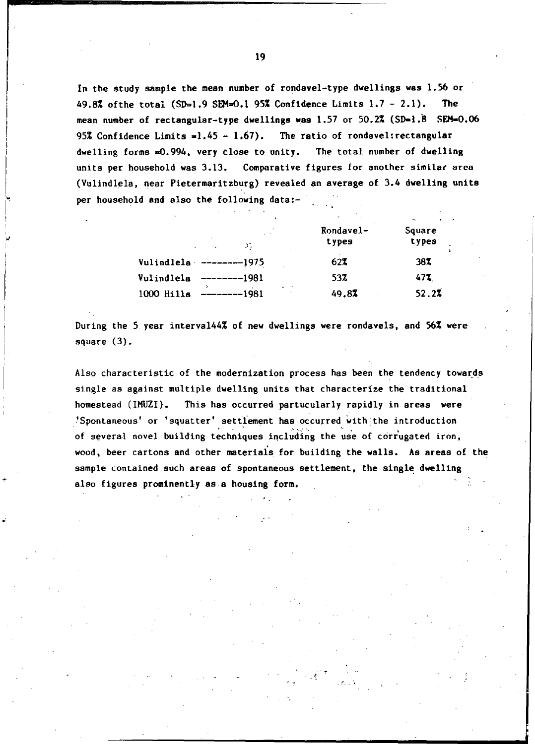In the study sample the mean number of rondavel-type dwellings was 1.56 or 49.8% of the total (SD=1.9 SEM=0.1 95% Confidence Limits  $1.7 - 2.1$ ). The mean number of rectangular-type dwellings was 1.57 or 50.2% (SD=1.8 SEM=0.06 95% Confidence Limits  $=1.45 - 1.67$ ). The ratio of rondavel: rectangular dwelling forms =0.994, very close to unity. The total number of dwelling units per household was 3.13. Comparative figures for another similar area (Vulindlela, near Pietermaritzburg) revealed an average of 3.4 dwelling units per household and also the following data:-

| Σ.                                                                         | Rondavel-<br>types | Square<br>types |
|----------------------------------------------------------------------------|--------------------|-----------------|
| Vulindlela $----1975$                                                      | 62%                | 38%             |
| Vulindlela<br>$---1981$                                                    | 53%                | 47%             |
| $\frac{1}{2}$ and $\frac{1}{2}$<br>1000 Hills<br>$------1981$<br>$\bullet$ | 49.8%              | 52.2%           |

During the 5 year interval44% of new dwellings were rondavels, and 56% were square (3).

, '';

.. '

Also characteristic of the modernization process has been the tendency towards single as against multiple dwelling units that characterize the traditional homestead (IHUZI). This has occurred partucularly rapidly in areas were 'Spontaneous' or 'squatter' settlement has occurred with the introduction of several novel building techniques including the use of corrugated iron, wood, beer cartons and other materiais for building the walls. As areas of the sample contained such areas of spontaneous settlement, the single dwelling also figures prominently as a housing form.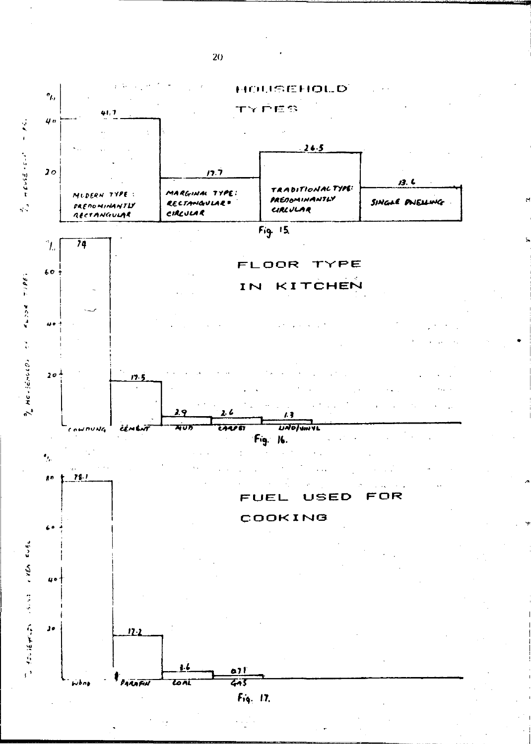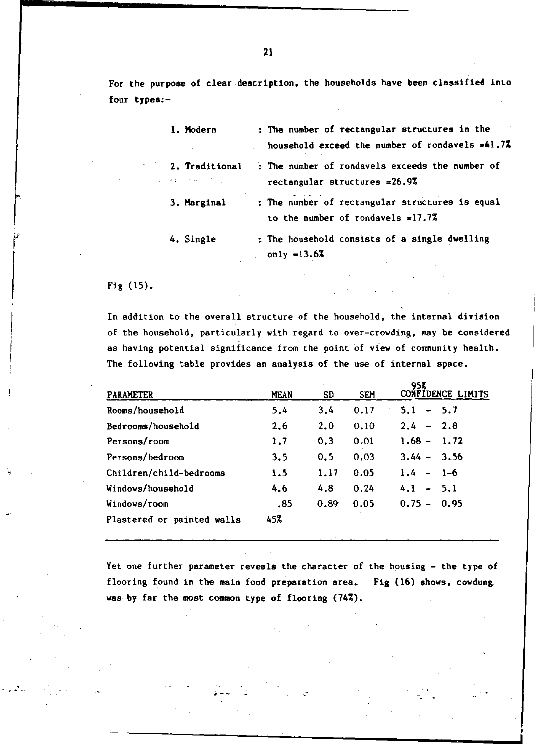For the purpose of c1ear·description, the households have been classified inlo four types:-

| 1. Modern                                 | : The number of rectangular structures in the<br>household exceed the number of rondavels $=41.72$ |
|-------------------------------------------|----------------------------------------------------------------------------------------------------|
| 2. Traditional<br>المستحيل الأعجاب والحجا | : The number of rondavels exceeds the number of<br>rectangular structures $=26.97$                 |
| 3. Marginal                               | : The number of rectangular structures is equal<br>to the number of rondavels $=17.7%$             |
| 4. Single                                 | : The household consists of a single dwelling<br>only =13.6%                                       |

Fig (15).

In addition to the overall structure of the household, the internal division of the household, particularly with regard to over-crowding, may be considered as having potential significance from the point of view of community health. The following table provides an analysis of the use of internal space.

| PARAMETER                  | MEAN | SD   | <b>SEM</b> | 958<br>CONFIDENCE LIMITS |
|----------------------------|------|------|------------|--------------------------|
| Rooms/household            | 5.4  | 3.4  | 0.17       | $-5.7$<br>5.1            |
| Bedrooms/household         | 2.6  | 2.0  | 0.10       | $2.4 - 2.8$              |
| Persons/room               | 1.7  | 0.3  | 0.01       | $1.68 - 1.72$            |
| Persons/bedroom            | 3.5  | 0.5  | 0.03       | $3.44 - 3.56$            |
| Children/child-bedrooms    | 1.5  | 1.17 | 0.05       | $1.4 - 1 - 6$            |
| Windows/household          | 4.6  | 4.8  | 0.24       | $4.1 - 5.1$              |
| Windows/room               | .85  | 0.89 | 0.05       | $0.75 -$<br>0.95         |
| Plastered or painted walls | 45%  |      |            |                          |

Yet one further parameter reveals the character of the housing - the type of flooring found in the main food preparation area. Fig (16) shows, cowdung. was by far the most common type of flooring (74%).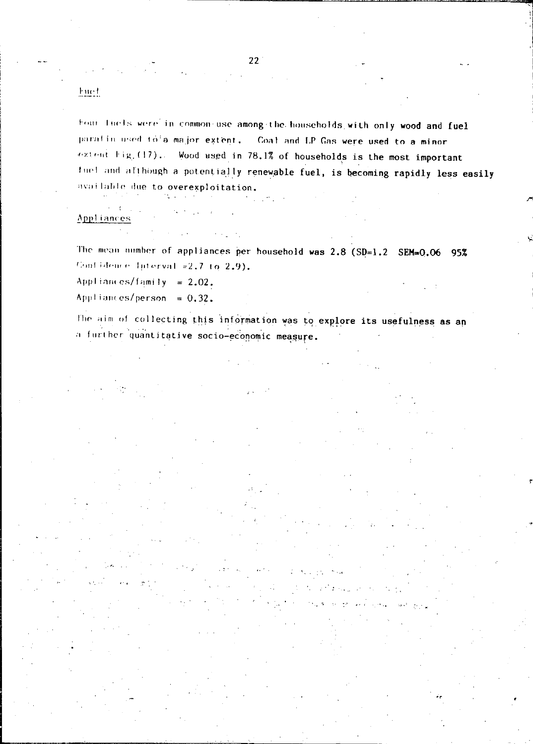22

### hue t

Four lucis were in common-use among-the households with only wood and fuel paratin used to a major extent. Coal and LP Gas were used to a minor extent Fig. (17). Wood used in 78.1% of households is the most important fuel and although a potentially renewable fuel, is becoming rapidly less easily available due to overexploitation.

#### Appliances

The mean number of appliances per household was  $2.8$  (SD=1.2 SEM=0.06 95% Contidence Interval =2.7 to 2.9).

Appliances/family =  $2.02$ .

 $\text{Appliamees/person} = 0.32.$ 

The aim of collecting this information was to explore its usefulness as an a further quantitative socio-economic measure.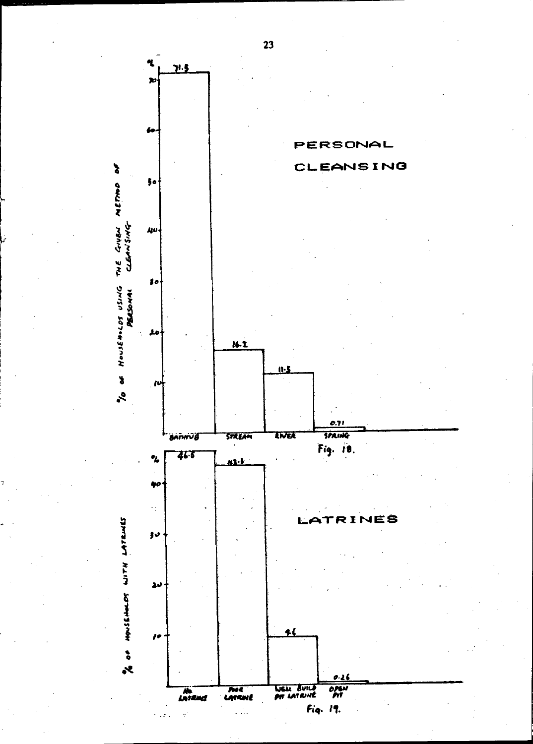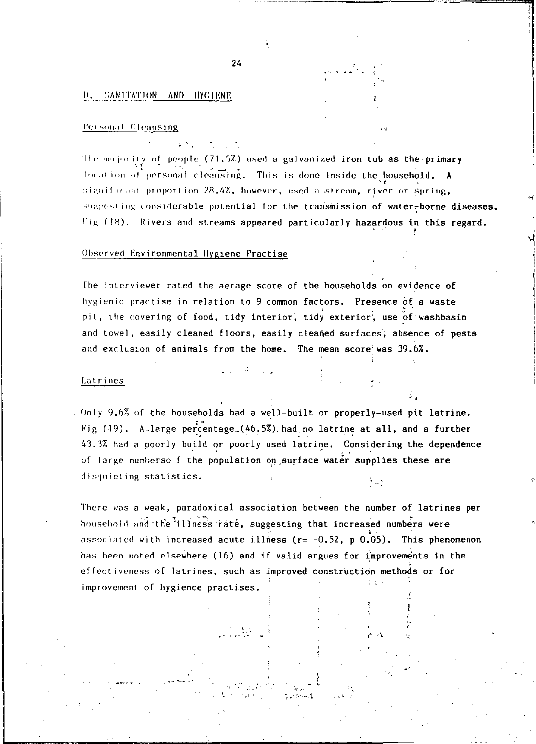#### **D. SANITATION AND HYGLENE**

#### Personal Cleansing

The majority of people (71.5%) used a galvanized iron tub as the primary location of personal cleansing. This is done inside the pousehold. A significant proportion 28.4Z, however, used a stream, river or spring, suggesting considerable potential for the transmission of water-borne diseases. Fig (18). Rivers and streams appeared particularly hazardous in this regard.

#### Observed Environmental Hygiene Practise

The interviewer rated the aerage score of the households on evidence of hygienic practise in relation to 9 common factors. Presence of a waste pit, the covering of food, tidy interior, tidy exterior, use of washbasin and towel, easily cleaned floors, easily cleaned surfaces, absence of pests and exclusion of animals from the home. The mean score was 39.6%.

#### Latrines

Only 9.6% of the households had a well-built or properly-used pit latrine. Fig (19). A large percentage (46.5%) had no latrine at all, and a further 43.3% had a poorly build or poorly used latrine. Considering the dependence of large numberso f the population on surface water supplies these are disquieting statistics.

There was a weak, paradoxical association between the number of latrines per household and the<sup>1</sup>illness rate, suggesting that increased numbers were associated with increased acute illness ( $r = -0.52$ , p 0.05). This phenomenon has been noted elsewhere (16) and if valid argues for improvements in the effectiveness of latrines, such as improved construction methods or for improvement of hygience practises.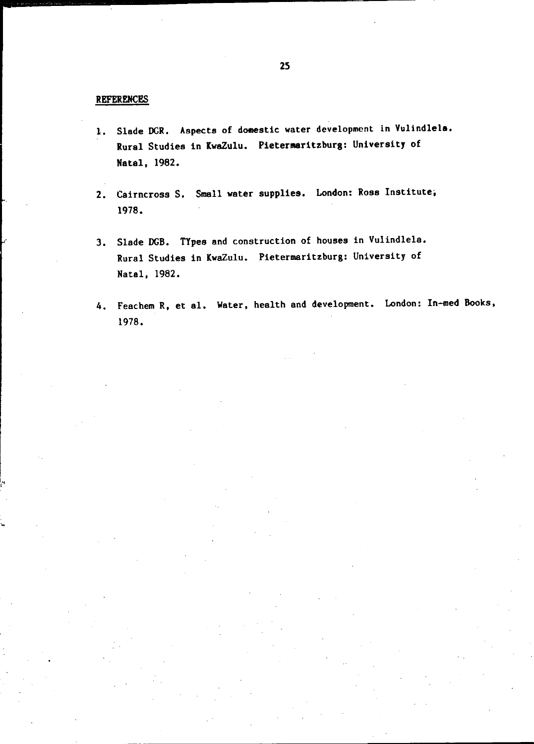#### REFERENCES

- 1. Slade DGR. Aspects of domestic water development in Vulindlela. Rural Studies in KwaZulu. Pietermaritzburg: University of Natal, 1982.
- 2. Cairncross S. Small water supplies. London: Rosa Institute, 1978.
- 3. Slade DCB. TYpes and construction of houses in Vulindlela. Rural Studies in KwaZulu. Pietermaritzburg: University of Natal, 1982.
- 4. Feachem R, et al. Water, health and development. London: In-med Books, 1978.